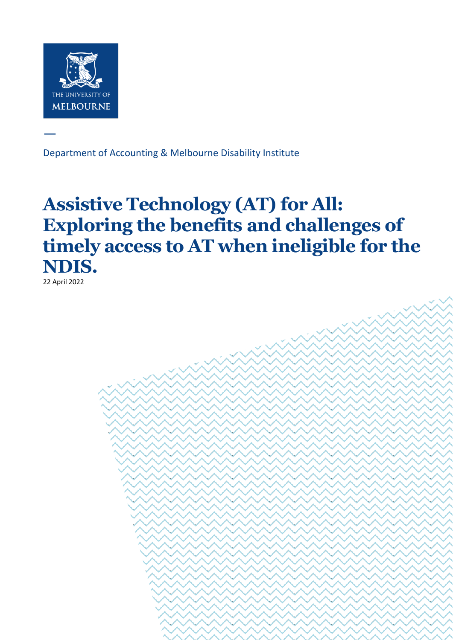

—

Department of Accounting & Melbourne Disability Institute

**Department of Accounting & Melbourne Disability Institute** | Assistive Technology (AT) for All:

Exploring the benefits and challenges of timely access to AT when ineligible for the NDIS. Page 1 of 36

# **Assistive Technology (AT) for All: Exploring the benefits and challenges of timely access to AT when ineligible for the NDIS.**

22 April 2022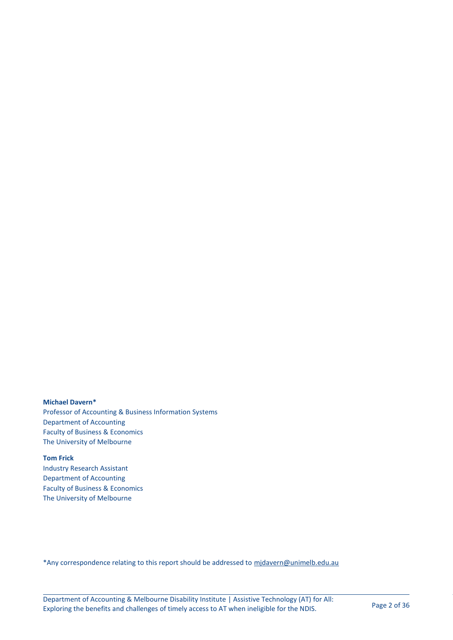**Michael Davern\*** Professor of Accounting & Business Information Systems Department of Accounting Faculty of Business & Economics The University of Melbourne

**Tom Frick** Industry Research Assistant

Department of Accounting Faculty of Business & Economics The University of Melbourne

\*Any correspondence relating to this report should be addressed to [mjdavern@unimelb.edu.au](mailto:mjdavern@unimelb.edu.au)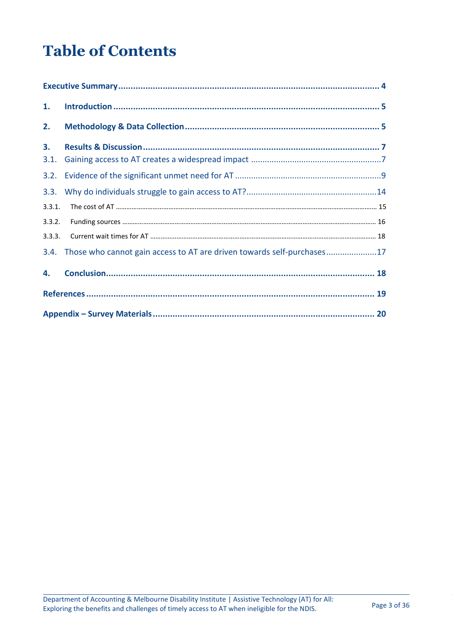# **Table of Contents**

| 1.         |                                                                        |
|------------|------------------------------------------------------------------------|
| 2.         |                                                                        |
| 3.<br>3.1. |                                                                        |
| 3.2.       |                                                                        |
| 3.3.       |                                                                        |
| 3.3.1.     |                                                                        |
| 3.3.2.     |                                                                        |
| 3.3.3.     |                                                                        |
| 3.4.       | Those who cannot gain access to AT are driven towards self-purchases17 |
| 4.         |                                                                        |
|            |                                                                        |
|            |                                                                        |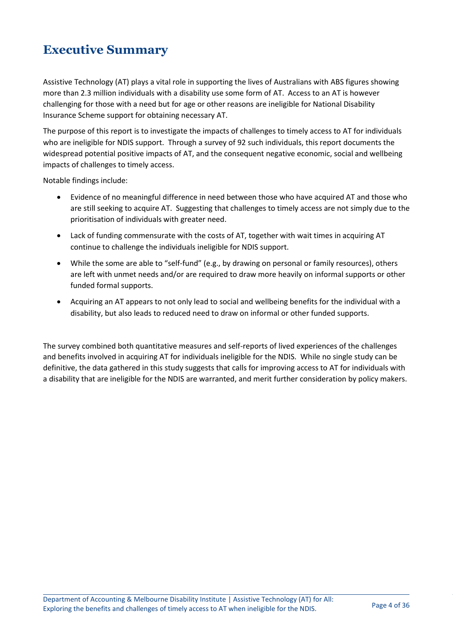## <span id="page-3-0"></span>**Executive Summary**

Assistive Technology (AT) plays a vital role in supporting the lives of Australians with ABS figures showing more than 2.3 million individuals with a disability use some form of AT. Access to an AT is however challenging for those with a need but for age or other reasons are ineligible for National Disability Insurance Scheme support for obtaining necessary AT.

The purpose of this report is to investigate the impacts of challenges to timely access to AT for individuals who are ineligible for NDIS support. Through a survey of 92 such individuals, this report documents the widespread potential positive impacts of AT, and the consequent negative economic, social and wellbeing impacts of challenges to timely access.

Notable findings include:

- Evidence of no meaningful difference in need between those who have acquired AT and those who are still seeking to acquire AT. Suggesting that challenges to timely access are not simply due to the prioritisation of individuals with greater need.
- Lack of funding commensurate with the costs of AT, together with wait times in acquiring AT continue to challenge the individuals ineligible for NDIS support.
- While the some are able to "self-fund" (e.g., by drawing on personal or family resources), others are left with unmet needs and/or are required to draw more heavily on informal supports or other funded formal supports.
- Acquiring an AT appears to not only lead to social and wellbeing benefits for the individual with a disability, but also leads to reduced need to draw on informal or other funded supports.

The survey combined both quantitative measures and self-reports of lived experiences of the challenges and benefits involved in acquiring AT for individuals ineligible for the NDIS. While no single study can be definitive, the data gathered in this study suggests that calls for improving access to AT for individuals with a disability that are ineligible for the NDIS are warranted, and merit further consideration by policy makers.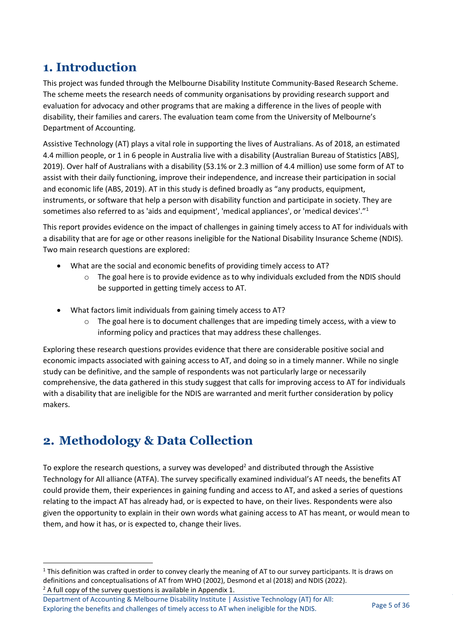# <span id="page-4-0"></span>**1. Introduction**

This project was funded through the Melbourne Disability Institute Community-Based Research Scheme. The scheme meets the research needs of community organisations by providing research support and evaluation for advocacy and other programs that are making a difference in the lives of people with disability, their families and carers. The evaluation team come from the University of Melbourne's Department of Accounting.

Assistive Technology (AT) plays a vital role in supporting the lives of Australians. As of 2018, an estimated 4.4 million people, or 1 in 6 people in Australia live with a disability (Australian Bureau of Statistics [ABS], 2019). Over half of Australians with a disability (53.1% or 2.3 million of 4.4 million) use some form of AT to assist with their daily functioning, improve their independence, and increase their participation in social and economic life (ABS, 2019). AT in this study is defined broadly as "any products, equipment, instruments, or software that help a person with disability function and participate in society. They are sometimes also referred to as 'aids and equipment', 'medical appliances', or 'medical devices'."<sup>1</sup>

This report provides evidence on the impact of challenges in gaining timely access to AT for individuals with a disability that are for age or other reasons ineligible for the National Disability Insurance Scheme (NDIS). Two main research questions are explored:

- What are the social and economic benefits of providing timely access to AT?
	- $\circ$  The goal here is to provide evidence as to why individuals excluded from the NDIS should be supported in getting timely access to AT.
- What factors limit individuals from gaining timely access to AT?
	- The goal here is to document challenges that are impeding timely access, with a view to informing policy and practices that may address these challenges.

Exploring these research questions provides evidence that there are considerable positive social and economic impacts associated with gaining access to AT, and doing so in a timely manner. While no single study can be definitive, and the sample of respondents was not particularly large or necessarily comprehensive, the data gathered in this study suggest that calls for improving access to AT for individuals with a disability that are ineligible for the NDIS are warranted and merit further consideration by policy makers.

# <span id="page-4-1"></span>**2. Methodology & Data Collection**

To explore the research questions, a survey was developed<sup>2</sup> and distributed through the Assistive Technology for All alliance (ATFA). The survey specifically examined individual's AT needs, the benefits AT could provide them, their experiences in gaining funding and access to AT, and asked a series of questions relating to the impact AT has already had, or is expected to have, on their lives. Respondents were also given the opportunity to explain in their own words what gaining access to AT has meant, or would mean to them, and how it has, or is expected to, change their lives.

 $2A$  full copy of the survey questions is available in Appendix 1.

 $1$  This definition was crafted in order to convey clearly the meaning of AT to our survey participants. It is draws on definitions and conceptualisations of AT from WHO (2002), Desmond et al (2018) and NDIS (2022).

Department of Accounting & Melbourne Disability Institute | Assistive Technology (AT) for All: Exploring the benefits and challenges of timely access to AT when ineligible for the NDIS. Page 5 of 36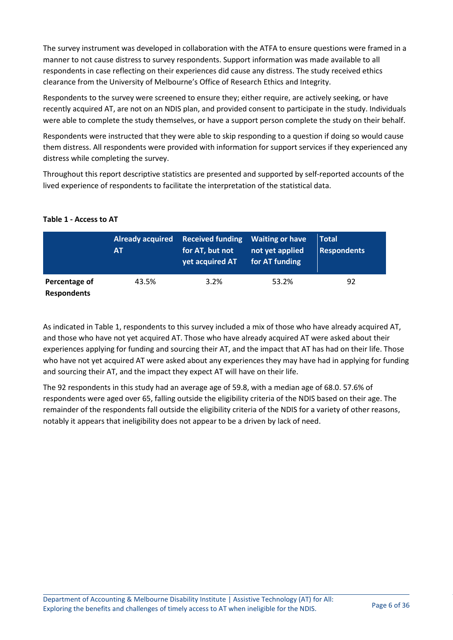The survey instrument was developed in collaboration with the ATFA to ensure questions were framed in a manner to not cause distress to survey respondents. Support information was made available to all respondents in case reflecting on their experiences did cause any distress. The study received ethics clearance from the University of Melbourne's Office of Research Ethics and Integrity.

Respondents to the survey were screened to ensure they; either require, are actively seeking, or have recently acquired AT, are not on an NDIS plan, and provided consent to participate in the study. Individuals were able to complete the study themselves, or have a support person complete the study on their behalf.

Respondents were instructed that they were able to skip responding to a question if doing so would cause them distress. All respondents were provided with information for support services if they experienced any distress while completing the survey.

Throughout this report descriptive statistics are presented and supported by self-reported accounts of the lived experience of respondents to facilitate the interpretation of the statistical data.

#### **Table 1 - Access to AT**

|                                     | <b>Already acquired</b><br>AT | Received funding Waiting or have<br>for AT, but not<br>yet acquired AT | not yet applied<br>for AT funding | Total'<br><b>Respondents</b> |
|-------------------------------------|-------------------------------|------------------------------------------------------------------------|-----------------------------------|------------------------------|
| Percentage of<br><b>Respondents</b> | 43.5%                         | 3.2%                                                                   | 53.2%                             | 92                           |

As indicated in Table 1, respondents to this survey included a mix of those who have already acquired AT, and those who have not yet acquired AT. Those who have already acquired AT were asked about their experiences applying for funding and sourcing their AT, and the impact that AT has had on their life. Those who have not yet acquired AT were asked about any experiences they may have had in applying for funding and sourcing their AT, and the impact they expect AT will have on their life.

The 92 respondents in this study had an average age of 59.8, with a median age of 68.0. 57.6% of respondents were aged over 65, falling outside the eligibility criteria of the NDIS based on their age. The remainder of the respondents fall outside the eligibility criteria of the NDIS for a variety of other reasons, notably it appears that ineligibility does not appear to be a driven by lack of need.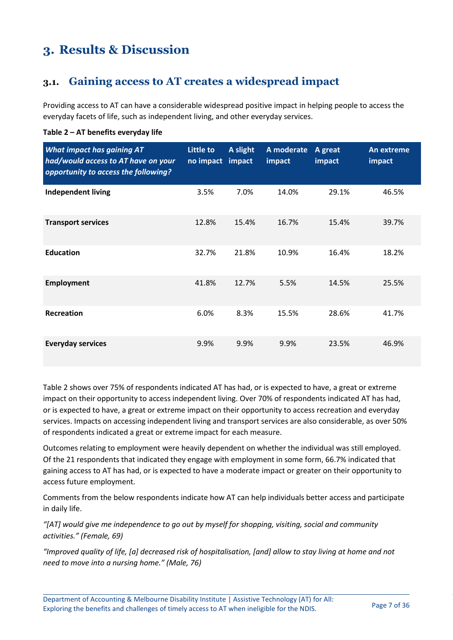# <span id="page-6-0"></span>**3. Results & Discussion**

### <span id="page-6-1"></span>**3.1. Gaining access to AT creates a widespread impact**

Providing access to AT can have a considerable widespread positive impact in helping people to access the everyday facets of life, such as independent living, and other everyday services.

| <b>What impact has gaining AT</b><br>had/would access to AT have on your<br>opportunity to access the following? | <b>Little to</b><br>no impact | A slight<br>impact | A moderate<br>impact | A great<br>impact | An extreme<br>impact |
|------------------------------------------------------------------------------------------------------------------|-------------------------------|--------------------|----------------------|-------------------|----------------------|
| <b>Independent living</b>                                                                                        | 3.5%                          | 7.0%               | 14.0%                | 29.1%             | 46.5%                |
| <b>Transport services</b>                                                                                        | 12.8%                         | 15.4%              | 16.7%                | 15.4%             | 39.7%                |
| <b>Education</b>                                                                                                 | 32.7%                         | 21.8%              | 10.9%                | 16.4%             | 18.2%                |
| <b>Employment</b>                                                                                                | 41.8%                         | 12.7%              | 5.5%                 | 14.5%             | 25.5%                |
| <b>Recreation</b>                                                                                                | 6.0%                          | 8.3%               | 15.5%                | 28.6%             | 41.7%                |
| <b>Everyday services</b>                                                                                         | 9.9%                          | 9.9%               | 9.9%                 | 23.5%             | 46.9%                |

#### **Table 2 – AT benefits everyday life**

Table 2 shows over 75% of respondents indicated AT has had, or is expected to have, a great or extreme impact on their opportunity to access independent living. Over 70% of respondents indicated AT has had, or is expected to have, a great or extreme impact on their opportunity to access recreation and everyday services. Impacts on accessing independent living and transport services are also considerable, as over 50% of respondents indicated a great or extreme impact for each measure.

Outcomes relating to employment were heavily dependent on whether the individual was still employed. Of the 21 respondents that indicated they engage with employment in some form, 66.7% indicated that gaining access to AT has had, or is expected to have a moderate impact or greater on their opportunity to access future employment.

Comments from the below respondents indicate how AT can help individuals better access and participate in daily life.

*"[AT] would give me independence to go out by myself for shopping, visiting, social and community activities." (Female, 69)*

*"Improved quality of life, [a] decreased risk of hospitalisation, [and] allow to stay living at home and not need to move into a nursing home." (Male, 76)*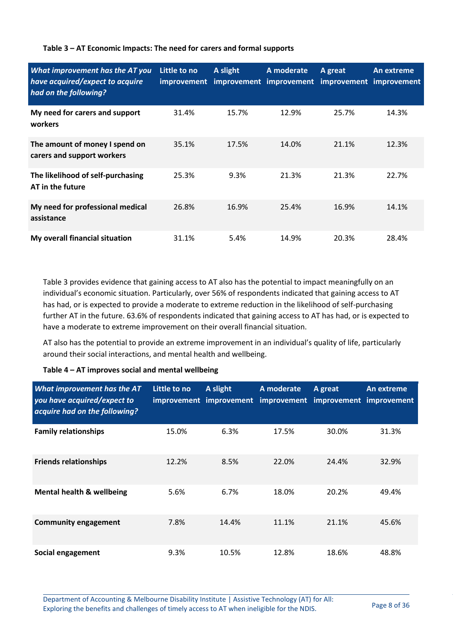#### **Table 3 – AT Economic Impacts: The need for carers and formal supports**

| What improvement has the AT you<br>have acquired/expect to acquire<br>had on the following? | Little to no<br>improvement | A slight | A moderate<br>improvement improvement improvement improvement | A great | An extreme |
|---------------------------------------------------------------------------------------------|-----------------------------|----------|---------------------------------------------------------------|---------|------------|
| My need for carers and support<br>workers                                                   | 31.4%                       | 15.7%    | 12.9%                                                         | 25.7%   | 14.3%      |
| The amount of money I spend on<br>carers and support workers                                | 35.1%                       | 17.5%    | 14.0%                                                         | 21.1%   | 12.3%      |
| The likelihood of self-purchasing<br>AT in the future                                       | 25.3%                       | 9.3%     | 21.3%                                                         | 21.3%   | 22.7%      |
| My need for professional medical<br>assistance                                              | 26.8%                       | 16.9%    | 25.4%                                                         | 16.9%   | 14.1%      |
| My overall financial situation                                                              | 31.1%                       | 5.4%     | 14.9%                                                         | 20.3%   | 28.4%      |

Table 3 provides evidence that gaining access to AT also has the potential to impact meaningfully on an individual's economic situation. Particularly, over 56% of respondents indicated that gaining access to AT has had, or is expected to provide a moderate to extreme reduction in the likelihood of self-purchasing further AT in the future. 63.6% of respondents indicated that gaining access to AT has had, or is expected to have a moderate to extreme improvement on their overall financial situation.

AT also has the potential to provide an extreme improvement in an individual's quality of life, particularly around their social interactions, and mental health and wellbeing.

#### **Table 4 – AT improves social and mental wellbeing**

| <b>What improvement has the AT</b><br>you have acquired/expect to<br>acquire had on the following? | Little to no | A slight | A moderate<br>improvement improvement improvement improvement improvement | A great | An extreme |
|----------------------------------------------------------------------------------------------------|--------------|----------|---------------------------------------------------------------------------|---------|------------|
| <b>Family relationships</b>                                                                        | 15.0%        | 6.3%     | 17.5%                                                                     | 30.0%   | 31.3%      |
| <b>Friends relationships</b>                                                                       | 12.2%        | 8.5%     | 22.0%                                                                     | 24.4%   | 32.9%      |
| <b>Mental health &amp; wellbeing</b>                                                               | 5.6%         | 6.7%     | 18.0%                                                                     | 20.2%   | 49.4%      |
| <b>Community engagement</b>                                                                        | 7.8%         | 14.4%    | 11.1%                                                                     | 21.1%   | 45.6%      |
| Social engagement                                                                                  | 9.3%         | 10.5%    | 12.8%                                                                     | 18.6%   | 48.8%      |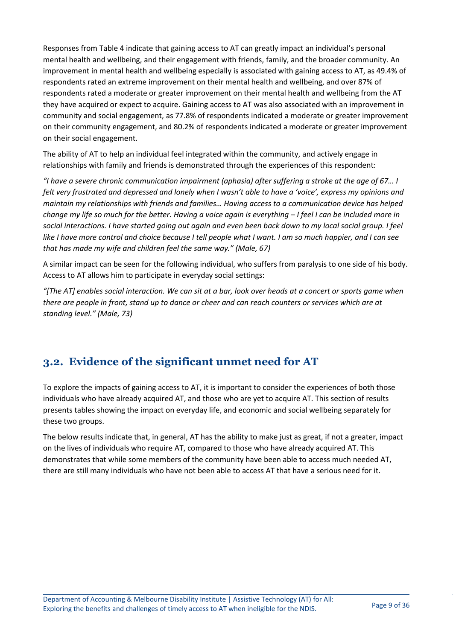Responses from Table 4 indicate that gaining access to AT can greatly impact an individual's personal mental health and wellbeing, and their engagement with friends, family, and the broader community. An improvement in mental health and wellbeing especially is associated with gaining access to AT, as 49.4% of respondents rated an extreme improvement on their mental health and wellbeing, and over 87% of respondents rated a moderate or greater improvement on their mental health and wellbeing from the AT they have acquired or expect to acquire. Gaining access to AT was also associated with an improvement in community and social engagement, as 77.8% of respondents indicated a moderate or greater improvement on their community engagement, and 80.2% of respondents indicated a moderate or greater improvement on their social engagement.

The ability of AT to help an individual feel integrated within the community, and actively engage in relationships with family and friends is demonstrated through the experiences of this respondent:

*"I have a severe chronic communication impairment (aphasia) after suffering a stroke at the age of 67… I felt very frustrated and depressed and lonely when I wasn't able to have a 'voice', express my opinions and maintain my relationships with friends and families… Having access to a communication device has helped change my life so much for the better. Having a voice again is everything – I feel I can be included more in social interactions. I have started going out again and even been back down to my local social group. I feel like I have more control and choice because I tell people what I want. I am so much happier, and I can see that has made my wife and children feel the same way." (Male, 67)*

A similar impact can be seen for the following individual, who suffers from paralysis to one side of his body. Access to AT allows him to participate in everyday social settings:

*"[The AT] enables social interaction. We can sit at a bar, look over heads at a concert or sports game when there are people in front, stand up to dance or cheer and can reach counters or services which are at standing level." (Male, 73)*

### <span id="page-8-0"></span>**3.2. Evidence of the significant unmet need for AT**

To explore the impacts of gaining access to AT, it is important to consider the experiences of both those individuals who have already acquired AT, and those who are yet to acquire AT. This section of results presents tables showing the impact on everyday life, and economic and social wellbeing separately for these two groups.

The below results indicate that, in general, AT has the ability to make just as great, if not a greater, impact on the lives of individuals who require AT, compared to those who have already acquired AT. This demonstrates that while some members of the community have been able to access much needed AT, there are still many individuals who have not been able to access AT that have a serious need for it.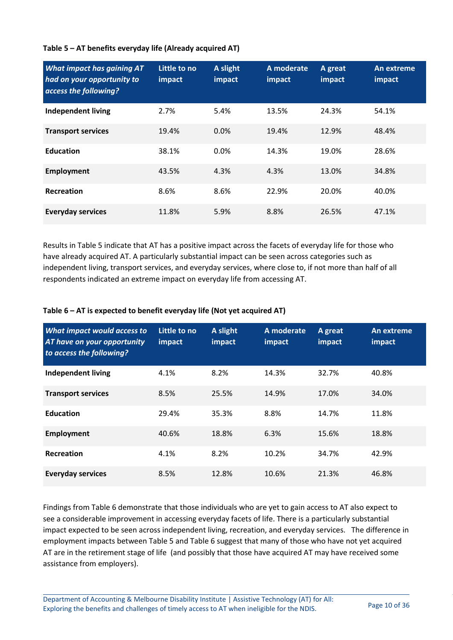#### **Table 5 – AT benefits everyday life (Already acquired AT)**

| <b>What impact has gaining AT</b><br>had on your opportunity to<br>access the following? | Little to no<br>impact | A slight<br>impact | A moderate<br>impact | A great<br>impact | An extreme<br>impact |
|------------------------------------------------------------------------------------------|------------------------|--------------------|----------------------|-------------------|----------------------|
| <b>Independent living</b>                                                                | 2.7%                   | 5.4%               | 13.5%                | 24.3%             | 54.1%                |
| <b>Transport services</b>                                                                | 19.4%                  | $0.0\%$            | 19.4%                | 12.9%             | 48.4%                |
| <b>Education</b>                                                                         | 38.1%                  | 0.0%               | 14.3%                | 19.0%             | 28.6%                |
| <b>Employment</b>                                                                        | 43.5%                  | 4.3%               | 4.3%                 | 13.0%             | 34.8%                |
| Recreation                                                                               | 8.6%                   | 8.6%               | 22.9%                | 20.0%             | 40.0%                |
| <b>Everyday services</b>                                                                 | 11.8%                  | 5.9%               | 8.8%                 | 26.5%             | 47.1%                |

Results in Table 5 indicate that AT has a positive impact across the facets of everyday life for those who have already acquired AT. A particularly substantial impact can be seen across categories such as independent living, transport services, and everyday services, where close to, if not more than half of all respondents indicated an extreme impact on everyday life from accessing AT.

#### **Table 6 – AT is expected to benefit everyday life (Not yet acquired AT)**

| What impact would access to<br><b>AT have on your opportunity</b><br>to access the following? | Little to no<br>impact | A slight<br>impact | A moderate<br>impact | A great<br>impact | An extreme<br>impact |
|-----------------------------------------------------------------------------------------------|------------------------|--------------------|----------------------|-------------------|----------------------|
| <b>Independent living</b>                                                                     | 4.1%                   | 8.2%               | 14.3%                | 32.7%             | 40.8%                |
| <b>Transport services</b>                                                                     | 8.5%                   | 25.5%              | 14.9%                | 17.0%             | 34.0%                |
| <b>Education</b>                                                                              | 29.4%                  | 35.3%              | 8.8%                 | 14.7%             | 11.8%                |
| <b>Employment</b>                                                                             | 40.6%                  | 18.8%              | 6.3%                 | 15.6%             | 18.8%                |
| Recreation                                                                                    | 4.1%                   | 8.2%               | 10.2%                | 34.7%             | 42.9%                |
| <b>Everyday services</b>                                                                      | 8.5%                   | 12.8%              | 10.6%                | 21.3%             | 46.8%                |

Findings from Table 6 demonstrate that those individuals who are yet to gain access to AT also expect to see a considerable improvement in accessing everyday facets of life. There is a particularly substantial impact expected to be seen across independent living, recreation, and everyday services. The difference in employment impacts between Table 5 and Table 6 suggest that many of those who have not yet acquired AT are in the retirement stage of life (and possibly that those have acquired AT may have received some assistance from employers).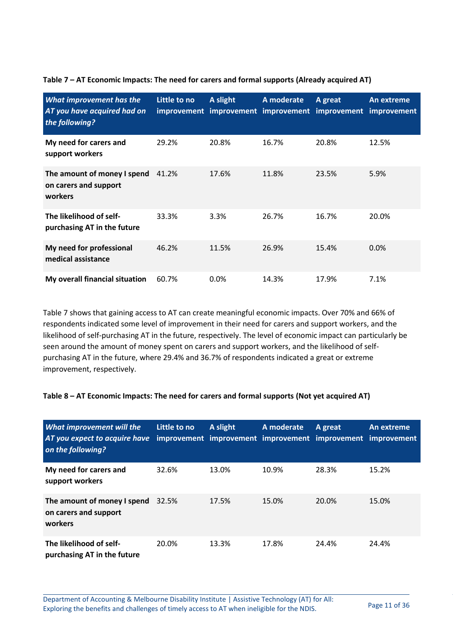| What improvement has the<br>AT you have acquired had on<br>the following? | Little to no | A slight | A moderate | A great<br>improvement improvement improvement improvement improvement | An extreme |
|---------------------------------------------------------------------------|--------------|----------|------------|------------------------------------------------------------------------|------------|
| My need for carers and<br>support workers                                 | 29.2%        | 20.8%    | 16.7%      | 20.8%                                                                  | 12.5%      |
| The amount of money I spend<br>on carers and support<br>workers           | 41.2%        | 17.6%    | 11.8%      | 23.5%                                                                  | 5.9%       |
| The likelihood of self-<br>purchasing AT in the future                    | 33.3%        | 3.3%     | 26.7%      | 16.7%                                                                  | 20.0%      |
| My need for professional<br>medical assistance                            | 46.2%        | 11.5%    | 26.9%      | 15.4%                                                                  | 0.0%       |
| My overall financial situation                                            | 60.7%        | $0.0\%$  | 14.3%      | 17.9%                                                                  | 7.1%       |

**Table 7 – AT Economic Impacts: The need for carers and formal supports (Already acquired AT)**

Table 7 shows that gaining access to AT can create meaningful economic impacts. Over 70% and 66% of respondents indicated some level of improvement in their need for carers and support workers, and the likelihood of self-purchasing AT in the future, respectively. The level of economic impact can particularly be seen around the amount of money spent on carers and support workers, and the likelihood of selfpurchasing AT in the future, where 29.4% and 36.7% of respondents indicated a great or extreme improvement, respectively.

#### **Table 8 – AT Economic Impacts: The need for carers and formal supports (Not yet acquired AT)**

| <b>What improvement will the</b><br>AT you expect to acquire have<br>on the following? | Little to no | A slight | A moderate | A great<br>improvement improvement improvement improvement improvement | An extreme |
|----------------------------------------------------------------------------------------|--------------|----------|------------|------------------------------------------------------------------------|------------|
| My need for carers and<br>support workers                                              | 32.6%        | 13.0%    | 10.9%      | 28.3%                                                                  | 15.2%      |
| The amount of money I spend 32.5%<br>on carers and support<br>workers                  |              | 17.5%    | 15.0%      | 20.0%                                                                  | 15.0%      |
| The likelihood of self-<br>purchasing AT in the future                                 | 20.0%        | 13.3%    | 17.8%      | 24.4%                                                                  | 24.4%      |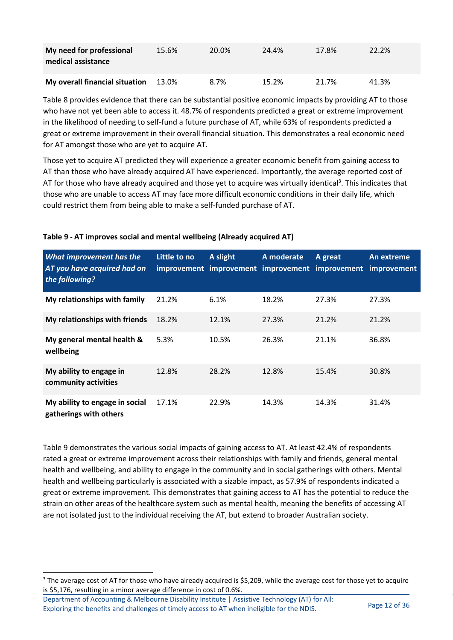| My need for professional<br>medical assistance | 15.6% | 20.0% | 24.4% | 17.8% | 22.2% |
|------------------------------------------------|-------|-------|-------|-------|-------|
| My overall financial situation                 | 13.0% | 8.7%  | 15.2% | 21.7% | 41.3% |

Table 8 provides evidence that there can be substantial positive economic impacts by providing AT to those who have not yet been able to access it. 48.7% of respondents predicted a great or extreme improvement in the likelihood of needing to self-fund a future purchase of AT, while 63% of respondents predicted a great or extreme improvement in their overall financial situation. This demonstrates a real economic need for AT amongst those who are yet to acquire AT.

Those yet to acquire AT predicted they will experience a greater economic benefit from gaining access to AT than those who have already acquired AT have experienced. Importantly, the average reported cost of AT for those who have already acquired and those yet to acquire was virtually identical<sup>3</sup>. This indicates that those who are unable to access AT may face more difficult economic conditions in their daily life, which could restrict them from being able to make a self-funded purchase of AT.

| <b>What improvement has the</b><br>AT you have acquired had on<br>the following? | Little to no | A slight | A moderate | A great<br>improvement improvement improvement improvement | An extreme<br><i>improvement</i> |
|----------------------------------------------------------------------------------|--------------|----------|------------|------------------------------------------------------------|----------------------------------|
| My relationships with family                                                     | 21.2%        | 6.1%     | 18.2%      | 27.3%                                                      | 27.3%                            |
| My relationships with friends                                                    | 18.2%        | 12.1%    | 27.3%      | 21.2%                                                      | 21.2%                            |
| My general mental health &<br>wellbeing                                          | 5.3%         | 10.5%    | 26.3%      | 21.1%                                                      | 36.8%                            |
| My ability to engage in<br>community activities                                  | 12.8%        | 28.2%    | 12.8%      | 15.4%                                                      | 30.8%                            |
| My ability to engage in social<br>gatherings with others                         | 17.1%        | 22.9%    | 14.3%      | 14.3%                                                      | 31.4%                            |

#### **Table 9** *-* **AT improves social and mental wellbeing (Already acquired AT)**

Table 9 demonstrates the various social impacts of gaining access to AT. At least 42.4% of respondents rated a great or extreme improvement across their relationships with family and friends, general mental health and wellbeing, and ability to engage in the community and in social gatherings with others. Mental health and wellbeing particularly is associated with a sizable impact, as 57.9% of respondents indicated a great or extreme improvement. This demonstrates that gaining access to AT has the potential to reduce the strain on other areas of the healthcare system such as mental health, meaning the benefits of accessing AT are not isolated just to the individual receiving the AT, but extend to broader Australian society.

<sup>&</sup>lt;sup>3</sup> The average cost of AT for those who have already acquired is \$5,209, while the average cost for those yet to acquire is \$5,176, resulting in a minor average difference in cost of 0.6%.

Department of Accounting & Melbourne Disability Institute | Assistive Technology (AT) for All: Exploring the benefits and challenges of timely access to AT when ineligible for the NDIS. Page 12 of 36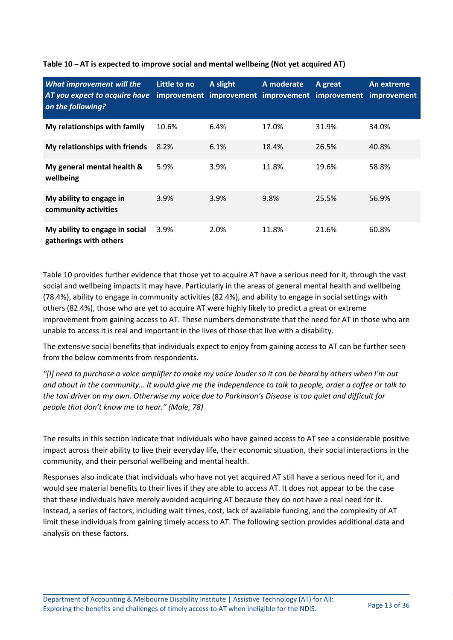| <b>What improvement will the</b><br>AT you expect to acquire have<br>on the following? | Little to no | A slight | A moderate<br>improvement improvement improvement improvement | A great | An extreme<br><i>improvement</i> |
|----------------------------------------------------------------------------------------|--------------|----------|---------------------------------------------------------------|---------|----------------------------------|
| My relationships with family                                                           | 10.6%        | 6.4%     | 17.0%                                                         | 31.9%   | 34.0%                            |
| My relationships with friends                                                          | 8.2%         | 6.1%     | 18.4%                                                         | 26.5%   | 40.8%                            |
| My general mental health &<br>wellbeing                                                | 5.9%         | 3.9%     | 11.8%                                                         | 19.6%   | 58.8%                            |
| My ability to engage in<br>community activities                                        | 3.9%         | 3.9%     | 9.8%                                                          | 25.5%   | 56.9%                            |
| My ability to engage in social<br>gatherings with others                               | 3.9%         | 2.0%     | 11.8%                                                         | 21.6%   | 60.8%                            |

#### **Table 10** *–* **AT is expected to improve social and mental wellbeing (Not yet acquired AT)**

Table 10 provides further evidence that those yet to acquire AT have a serious need for it, through the vast social and wellbeing impacts it may have. Particularly in the areas of general mental health and wellbeing (78.4%), ability to engage in community activities (82.4%), and ability to engage in social settings with others (82.4%), those who are yet to acquire AT were highly likely to predict a great or extreme improvement from gaining access to AT. These numbers demonstrate that the need for AT in those who are unable to access it is real and important in the lives of those that live with a disability.

The extensive social benefits that individuals expect to enjoy from gaining access to AT can be further seen from the below comments from respondents.

*"[I] need to purchase a voice amplifier to make my voice louder so it can be heard by others when I'm out and about in the community… It would give me the independence to talk to people, order a coffee or talk to the taxi driver on my own. Otherwise my voice due to Parkinson's Disease is too quiet and difficult for people that don't know me to hear." (Male, 78)*

The results in this section indicate that individuals who have gained access to AT see a considerable positive impact across their ability to live their everyday life, their economic situation, their social interactions in the community, and their personal wellbeing and mental health.

Responses also indicate that individuals who have not yet acquired AT still have a serious need for it, and would see material benefits to their lives if they are able to access AT. It does not appear to be the case that these individuals have merely avoided acquiring AT because they do not have a real need for it. Instead, a series of factors, including wait times, cost, lack of available funding, and the complexity of AT limit these individuals from gaining timely access to AT. The following section provides additional data and analysis on these factors.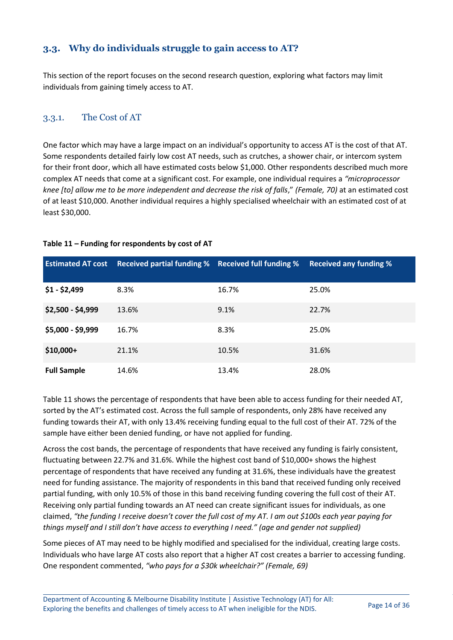### <span id="page-13-0"></span>**3.3. Why do individuals struggle to gain access to AT?**

This section of the report focuses on the second research question, exploring what factors may limit individuals from gaining timely access to AT.

### 3.3.1. The Cost of AT

One factor which may have a large impact on an individual's opportunity to access AT is the cost of that AT. Some respondents detailed fairly low cost AT needs, such as crutches, a shower chair, or intercom system for their front door, which all have estimated costs below \$1,000. Other respondents described much more complex AT needs that come at a significant cost. For example, one individual requires a *"microprocessor knee [to] allow me to be more independent and decrease the risk of falls*," *(Female, 70)* at an estimated cost of at least \$10,000. Another individual requires a highly specialised wheelchair with an estimated cost of at least \$30,000.

| <b>Estimated AT cost</b> | Received partial funding % Received full funding % |       | <b>Received any funding %</b> |
|--------------------------|----------------------------------------------------|-------|-------------------------------|
| $$1 - $2,499$            | 8.3%                                               | 16.7% | 25.0%                         |
| $$2,500 - $4,999$        | 13.6%                                              | 9.1%  | 22.7%                         |
| \$5,000 - \$9,999        | 16.7%                                              | 8.3%  | 25.0%                         |
| $$10,000+$               | 21.1%                                              | 10.5% | 31.6%                         |
| <b>Full Sample</b>       | 14.6%                                              | 13.4% | 28.0%                         |

#### **Table 11 – Funding for respondents by cost of AT**

Table 11 shows the percentage of respondents that have been able to access funding for their needed AT, sorted by the AT's estimated cost. Across the full sample of respondents, only 28% have received any funding towards their AT, with only 13.4% receiving funding equal to the full cost of their AT. 72% of the sample have either been denied funding, or have not applied for funding.

Across the cost bands, the percentage of respondents that have received any funding is fairly consistent, fluctuating between 22.7% and 31.6%. While the highest cost band of \$10,000+ shows the highest percentage of respondents that have received any funding at 31.6%, these individuals have the greatest need for funding assistance. The majority of respondents in this band that received funding only received partial funding, with only 10.5% of those in this band receiving funding covering the full cost of their AT. Receiving only partial funding towards an AT need can create significant issues for individuals, as one claimed, *"the funding I receive doesn't cover the full cost of my AT. I am out \$100s each year paying for things myself and I still don't have access to everything I need." (age and gender not supplied)*

Some pieces of AT may need to be highly modified and specialised for the individual, creating large costs. Individuals who have large AT costs also report that a higher AT cost creates a barrier to accessing funding. One respondent commented, *"who pays for a \$30k wheelchair?" (Female, 69)*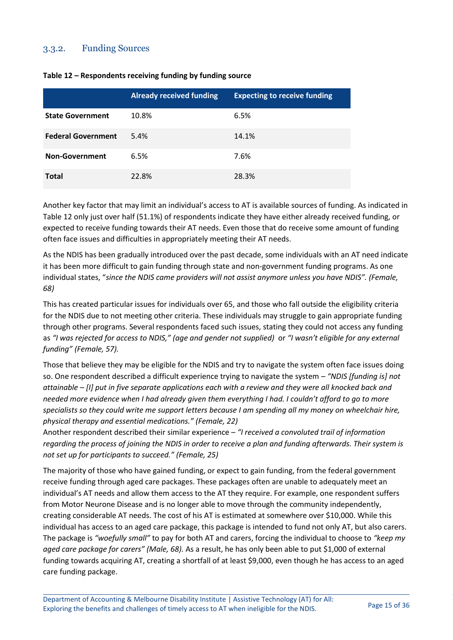#### 3.3.2. Funding Sources

|                           | <b>Already received funding</b> | <b>Expecting to receive funding</b> |
|---------------------------|---------------------------------|-------------------------------------|
| <b>State Government</b>   | 10.8%                           | 6.5%                                |
| <b>Federal Government</b> | 5.4%                            | 14.1%                               |
| <b>Non-Government</b>     | 6.5%                            | 7.6%                                |
| Total                     | 22.8%                           | 28.3%                               |

#### **Table 12 – Respondents receiving funding by funding source**

Another key factor that may limit an individual's access to AT is available sources of funding. As indicated in Table 12 only just over half (51.1%) of respondents indicate they have either already received funding, or expected to receive funding towards their AT needs. Even those that do receive some amount of funding often face issues and difficulties in appropriately meeting their AT needs.

As the NDIS has been gradually introduced over the past decade, some individuals with an AT need indicate it has been more difficult to gain funding through state and non-government funding programs. As one individual states, "*since the NDIS came providers will not assist anymore unless you have NDIS". (Female, 68)*

This has created particular issues for individuals over 65, and those who fall outside the eligibility criteria for the NDIS due to not meeting other criteria. These individuals may struggle to gain appropriate funding through other programs. Several respondents faced such issues, stating they could not access any funding as *"I was rejected for access to NDIS," (age and gender not supplied)* or *"I wasn't eligible for any external funding" (Female, 57).*

Those that believe they may be eligible for the NDIS and try to navigate the system often face issues doing so. One respondent described a difficult experience trying to navigate the system – *"NDIS [funding is] not attainable – [I] put in five separate applications each with a review and they were all knocked back and needed more evidence when I had already given them everything I had. I couldn't afford to go to more specialists so they could write me support letters because I am spending all my money on wheelchair hire, physical therapy and essential medications." (Female, 22)*

Another respondent described their similar experience – *"I received a convoluted trail of information regarding the process of joining the NDIS in order to receive a plan and funding afterwards. Their system is not set up for participants to succeed." (Female, 25)*

The majority of those who have gained funding, or expect to gain funding, from the federal government receive funding through aged care packages. These packages often are unable to adequately meet an individual's AT needs and allow them access to the AT they require. For example, one respondent suffers from Motor Neurone Disease and is no longer able to move through the community independently, creating considerable AT needs. The cost of his AT is estimated at somewhere over \$10,000. While this individual has access to an aged care package, this package is intended to fund not only AT, but also carers. The package is *"woefully small"* to pay for both AT and carers, forcing the individual to choose to *"keep my aged care package for carers" (Male, 68).* As a result, he has only been able to put \$1,000 of external funding towards acquiring AT, creating a shortfall of at least \$9,000, even though he has access to an aged care funding package.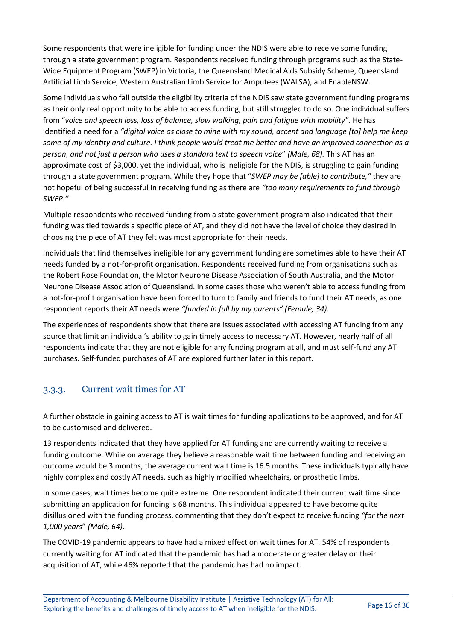Some respondents that were ineligible for funding under the NDIS were able to receive some funding through a state government program. Respondents received funding through programs such as the State-Wide Equipment Program (SWEP) in Victoria, the Queensland Medical Aids Subsidy Scheme, Queensland Artificial Limb Service, Western Australian Limb Service for Amputees (WALSA), and EnableNSW.

Some individuals who fall outside the eligibility criteria of the NDIS saw state government funding programs as their only real opportunity to be able to access funding, but still struggled to do so. One individual suffers from "*voice and speech loss, loss of balance, slow walking, pain and fatigue with mobility".* He has identified a need for a *"digital voice as close to mine with my sound, accent and language [to] help me keep some of my identity and culture. I think people would treat me better and have an improved connection as a person, and not just a person who uses a standard text to speech voice*" *(Male, 68).* This AT has an approximate cost of \$3,000, yet the individual, who is ineligible for the NDIS, is struggling to gain funding through a state government program. While they hope that "*SWEP may be [able] to contribute,"* they are not hopeful of being successful in receiving funding as there are *"too many requirements to fund through SWEP."*

Multiple respondents who received funding from a state government program also indicated that their funding was tied towards a specific piece of AT, and they did not have the level of choice they desired in choosing the piece of AT they felt was most appropriate for their needs.

Individuals that find themselves ineligible for any government funding are sometimes able to have their AT needs funded by a not-for-profit organisation. Respondents received funding from organisations such as the Robert Rose Foundation, the Motor Neurone Disease Association of South Australia, and the Motor Neurone Disease Association of Queensland. In some cases those who weren't able to access funding from a not-for-profit organisation have been forced to turn to family and friends to fund their AT needs, as one respondent reports their AT needs were *"funded in full by my parents" (Female, 34).*

The experiences of respondents show that there are issues associated with accessing AT funding from any source that limit an individual's ability to gain timely access to necessary AT. However, nearly half of all respondents indicate that they are not eligible for any funding program at all, and must self-fund any AT purchases. Self-funded purchases of AT are explored further later in this report.

### 3.3.3. Current wait times for AT

A further obstacle in gaining access to AT is wait times for funding applications to be approved, and for AT to be customised and delivered.

13 respondents indicated that they have applied for AT funding and are currently waiting to receive a funding outcome. While on average they believe a reasonable wait time between funding and receiving an outcome would be 3 months, the average current wait time is 16.5 months. These individuals typically have highly complex and costly AT needs, such as highly modified wheelchairs, or prosthetic limbs.

In some cases, wait times become quite extreme. One respondent indicated their current wait time since submitting an application for funding is 68 months. This individual appeared to have become quite disillusioned with the funding process, commenting that they don't expect to receive funding *"for the next 1,000 years*" *(Male, 64)*.

The COVID-19 pandemic appears to have had a mixed effect on wait times for AT. 54% of respondents currently waiting for AT indicated that the pandemic has had a moderate or greater delay on their acquisition of AT, while 46% reported that the pandemic has had no impact.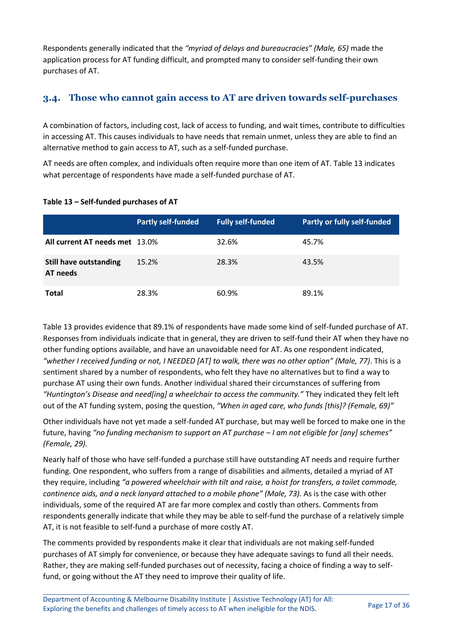Respondents generally indicated that the *"myriad of delays and bureaucracies" (Male, 65)* made the application process for AT funding difficult, and prompted many to consider self-funding their own purchases of AT.

### <span id="page-16-0"></span>**3.4. Those who cannot gain access to AT are driven towards self-purchases**

A combination of factors, including cost, lack of access to funding, and wait times, contribute to difficulties in accessing AT. This causes individuals to have needs that remain unmet, unless they are able to find an alternative method to gain access to AT, such as a self-funded purchase.

AT needs are often complex, and individuals often require more than one item of AT. Table 13 indicates what percentage of respondents have made a self-funded purchase of AT.

|                                           | <b>Partly self-funded</b> | <b>Fully self-funded</b> | <b>Partly or fully self-funded</b> |
|-------------------------------------------|---------------------------|--------------------------|------------------------------------|
| All current AT needs met 13.0%            |                           | 32.6%                    | 45.7%                              |
| <b>Still have outstanding</b><br>AT needs | 15.2%                     | 28.3%                    | 43.5%                              |
| <b>Total</b>                              | 28.3%                     | 60.9%                    | 89.1%                              |

#### **Table 13 – Self-funded purchases of AT**

Table 13 provides evidence that 89.1% of respondents have made some kind of self-funded purchase of AT. Responses from individuals indicate that in general, they are driven to self-fund their AT when they have no other funding options available, and have an unavoidable need for AT. As one respondent indicated, *"whether I received funding or not, I NEEDED [AT] to walk, there was no other option" (Male, 77)*. This is a sentiment shared by a number of respondents, who felt they have no alternatives but to find a way to purchase AT using their own funds. Another individual shared their circumstances of suffering from *"Huntington's Disease and need[ing] a wheelchair to access the community."* They indicated they felt left out of the AT funding system, posing the question, *"When in aged care, who funds [this]? (Female, 69)"*

Other individuals have not yet made a self-funded AT purchase, but may well be forced to make one in the future, having *"no funding mechanism to support an AT purchase – I am not eligible for [any] schemes" (Female, 29).*

Nearly half of those who have self-funded a purchase still have outstanding AT needs and require further funding. One respondent, who suffers from a range of disabilities and ailments, detailed a myriad of AT they require, including *"a powered wheelchair with tilt and raise, a hoist for transfers, a toilet commode, continence aids, and a neck lanyard attached to a mobile phone" (Male, 73).* As is the case with other individuals, some of the required AT are far more complex and costly than others. Comments from respondents generally indicate that while they may be able to self-fund the purchase of a relatively simple AT, it is not feasible to self-fund a purchase of more costly AT.

The comments provided by respondents make it clear that individuals are not making self-funded purchases of AT simply for convenience, or because they have adequate savings to fund all their needs. Rather, they are making self-funded purchases out of necessity, facing a choice of finding a way to selffund, or going without the AT they need to improve their quality of life.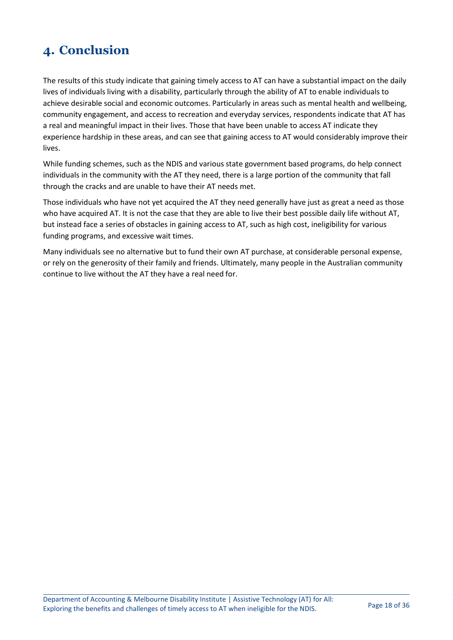# <span id="page-17-0"></span>**4. Conclusion**

The results of this study indicate that gaining timely access to AT can have a substantial impact on the daily lives of individuals living with a disability, particularly through the ability of AT to enable individuals to achieve desirable social and economic outcomes. Particularly in areas such as mental health and wellbeing, community engagement, and access to recreation and everyday services, respondents indicate that AT has a real and meaningful impact in their lives. Those that have been unable to access AT indicate they experience hardship in these areas, and can see that gaining access to AT would considerably improve their lives.

While funding schemes, such as the NDIS and various state government based programs, do help connect individuals in the community with the AT they need, there is a large portion of the community that fall through the cracks and are unable to have their AT needs met.

Those individuals who have not yet acquired the AT they need generally have just as great a need as those who have acquired AT. It is not the case that they are able to live their best possible daily life without AT, but instead face a series of obstacles in gaining access to AT, such as high cost, ineligibility for various funding programs, and excessive wait times.

Many individuals see no alternative but to fund their own AT purchase, at considerable personal expense, or rely on the generosity of their family and friends. Ultimately, many people in the Australian community continue to live without the AT they have a real need for.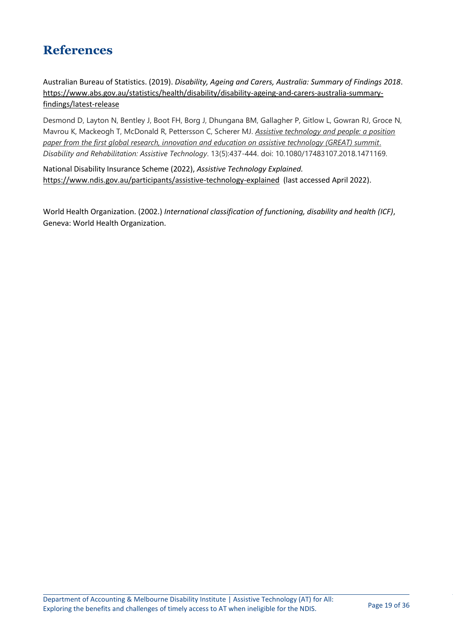## <span id="page-18-0"></span>**References**

Australian Bureau of Statistics. (2019). *Disability, Ageing and Carers, Australia: Summary of Findings 2018*. [https://www.abs.gov.au/statistics/health/disability/disability-ageing-and-carers-australia-summary](https://www.abs.gov.au/statistics/health/disability/disability-ageing-and-carers-australia-summary-findings/latest-release)[findings/latest-release](https://www.abs.gov.au/statistics/health/disability/disability-ageing-and-carers-australia-summary-findings/latest-release)

Desmond D, Layton N, Bentley J, Boot FH, Borg J, Dhungana BM, Gallagher P, Gitlow L, Gowran RJ, Groce N, Mavrou K, Mackeogh T, McDonald R, Pettersson C, Scherer MJ. *Assistive technology and people: a position paper from the first global research, innovation and education on assistive technology (GREAT) summit*. *Disability and Rehabilitation: Assistive Technology*. 13(5):437-444. doi: 10.1080/17483107.2018.1471169.

National Disability Insurance Scheme (2022), *Assistive Technology Explained.*  <https://www.ndis.gov.au/participants/assistive-technology-explained>(last accessed April 2022).

World Health Organization. (2002.) *International classification of functioning, disability and health (ICF)*, Geneva: World Health Organization.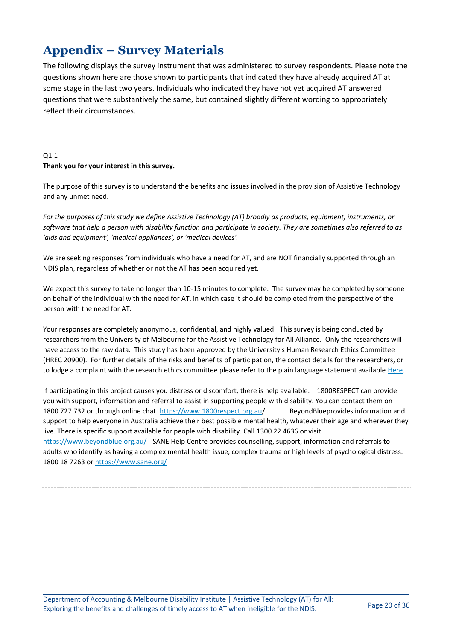# <span id="page-19-0"></span>**Appendix – Survey Materials**

The following displays the survey instrument that was administered to survey respondents. Please note the questions shown here are those shown to participants that indicated they have already acquired AT at some stage in the last two years. Individuals who indicated they have not yet acquired AT answered questions that were substantively the same, but contained slightly different wording to appropriately reflect their circumstances.

#### Q1.1 **Thank you for your interest in this survey.**

The purpose of this survey is to understand the benefits and issues involved in the provision of Assistive Technology and any unmet need.

*For the purposes of this study we define Assistive Technology (AT) broadly as products, equipment, instruments, or software that help a person with disability function and participate in society. They are sometimes also referred to as 'aids and equipment', 'medical appliances', or 'medical devices'.*

We are seeking responses from individuals who have a need for AT, and are NOT financially supported through an NDIS plan, regardless of whether or not the AT has been acquired yet.

We expect this survey to take no longer than 10-15 minutes to complete. The survey may be completed by someone on behalf of the individual with the need for AT, in which case it should be completed from the perspective of the person with the need for AT.

Your responses are completely anonymous, confidential, and highly valued. This survey is being conducted by researchers from the University of Melbourne for the Assistive Technology for All Alliance. Only the researchers will have access to the raw data. This study has been approved by the University's Human Research Ethics Committee (HREC 20900). For further details of the risks and benefits of participation, the contact details for the researchers, or to lodge a complaint with the research ethics committee please refer to the plain language statement available [Here.](https://melbourneuni.au1.qualtrics.com/CP/File.php?F=F_9WvQM0SH9acSSjk)

If participating in this project causes you distress or discomfort, there is help available: 1800RESPECT can provide you with support, information and referral to assist in supporting people with disability. You can contact them on 1800 727 732 or through online chat.<https://www.1800respect.org.au/> BeyondBlueprovides information and support to help everyone in Australia achieve their best possible mental health, whatever their age and wherever they live. There is specific support available for people with disability. Call 1300 22 4636 or visit <https://www.beyondblue.org.au/> SANE Help Centre provides counselling, support, information and referrals to adults who identify as having a complex mental health issue, complex trauma or high levels of psychological distress. 1800 18 7263 or<https://www.sane.org/>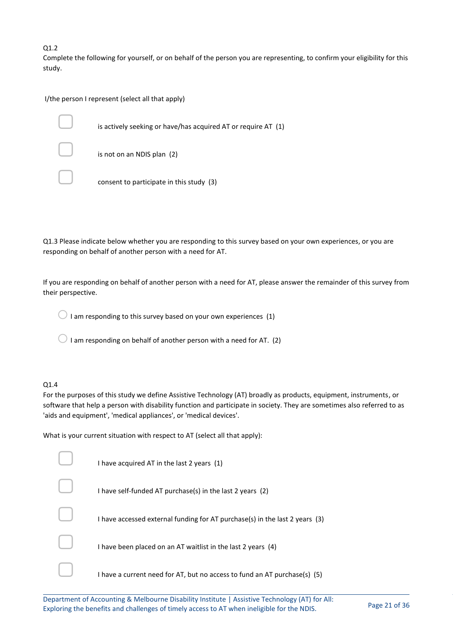Q1.2

Complete the following for yourself, or on behalf of the person you are representing, to confirm your eligibility for this study.

I/the person I represent (select all that apply)

is actively seeking or have/has acquired AT or require AT (1)

is not on an NDIS plan (2)

consent to participate in this study (3)

Q1.3 Please indicate below whether you are responding to this survey based on your own experiences, or you are responding on behalf of another person with a need for AT.

If you are responding on behalf of another person with a need for AT, please answer the remainder of this survey from their perspective.

 $\bigcirc$  I am responding to this survey based on your own experiences (1)

 $\bigcirc$  I am responding on behalf of another person with a need for AT. (2)

#### Q1.4

For the purposes of this study we define Assistive Technology (AT) broadly as products, equipment, instruments, or software that help a person with disability function and participate in society. They are sometimes also referred to as 'aids and equipment', 'medical appliances', or 'medical devices'.

What is your current situation with respect to AT (select all that apply):

| I have acquired AT in the last 2 years (1)                                    |
|-------------------------------------------------------------------------------|
| I have self-funded AT purchase(s) in the last 2 years (2)                     |
| I have accessed external funding for AT purchase(s) in the last 2 years $(3)$ |
| I have been placed on an AT waitlist in the last 2 years (4)                  |
| I have a current need for AT, but no access to fund an AT purchase(s) $(5)$   |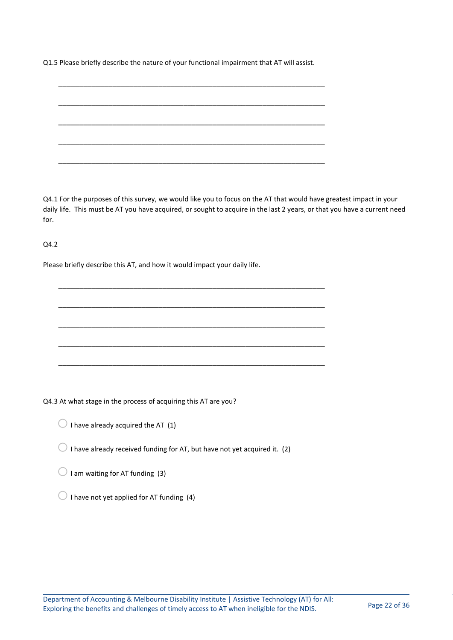Q1.5 Please briefly describe the nature of your functional impairment that AT will assist.

\_\_\_\_\_\_\_\_\_\_\_\_\_\_\_\_\_\_\_\_\_\_\_\_\_\_\_\_\_\_\_\_\_\_\_\_\_\_\_\_\_\_\_\_\_\_\_\_\_\_\_\_\_\_\_\_\_\_\_\_\_\_\_\_

\_\_\_\_\_\_\_\_\_\_\_\_\_\_\_\_\_\_\_\_\_\_\_\_\_\_\_\_\_\_\_\_\_\_\_\_\_\_\_\_\_\_\_\_\_\_\_\_\_\_\_\_\_\_\_\_\_\_\_\_\_\_\_\_

\_\_\_\_\_\_\_\_\_\_\_\_\_\_\_\_\_\_\_\_\_\_\_\_\_\_\_\_\_\_\_\_\_\_\_\_\_\_\_\_\_\_\_\_\_\_\_\_\_\_\_\_\_\_\_\_\_\_\_\_\_\_\_\_

\_\_\_\_\_\_\_\_\_\_\_\_\_\_\_\_\_\_\_\_\_\_\_\_\_\_\_\_\_\_\_\_\_\_\_\_\_\_\_\_\_\_\_\_\_\_\_\_\_\_\_\_\_\_\_\_\_\_\_\_\_\_\_\_

\_\_\_\_\_\_\_\_\_\_\_\_\_\_\_\_\_\_\_\_\_\_\_\_\_\_\_\_\_\_\_\_\_\_\_\_\_\_\_\_\_\_\_\_\_\_\_\_\_\_\_\_\_\_\_\_\_\_\_\_\_\_\_\_

\_\_\_\_\_\_\_\_\_\_\_\_\_\_\_\_\_\_\_\_\_\_\_\_\_\_\_\_\_\_\_\_\_\_\_\_\_\_\_\_\_\_\_\_\_\_\_\_\_\_\_\_\_\_\_\_\_\_\_\_\_\_\_\_

\_\_\_\_\_\_\_\_\_\_\_\_\_\_\_\_\_\_\_\_\_\_\_\_\_\_\_\_\_\_\_\_\_\_\_\_\_\_\_\_\_\_\_\_\_\_\_\_\_\_\_\_\_\_\_\_\_\_\_\_\_\_\_\_

\_\_\_\_\_\_\_\_\_\_\_\_\_\_\_\_\_\_\_\_\_\_\_\_\_\_\_\_\_\_\_\_\_\_\_\_\_\_\_\_\_\_\_\_\_\_\_\_\_\_\_\_\_\_\_\_\_\_\_\_\_\_\_\_

\_\_\_\_\_\_\_\_\_\_\_\_\_\_\_\_\_\_\_\_\_\_\_\_\_\_\_\_\_\_\_\_\_\_\_\_\_\_\_\_\_\_\_\_\_\_\_\_\_\_\_\_\_\_\_\_\_\_\_\_\_\_\_\_

\_\_\_\_\_\_\_\_\_\_\_\_\_\_\_\_\_\_\_\_\_\_\_\_\_\_\_\_\_\_\_\_\_\_\_\_\_\_\_\_\_\_\_\_\_\_\_\_\_\_\_\_\_\_\_\_\_\_\_\_\_\_\_\_

Q4.1 For the purposes of this survey, we would like you to focus on the AT that would have greatest impact in your daily life. This must be AT you have acquired, or sought to acquire in the last 2 years, or that you have a current need for.

Q4.2

Please briefly describe this AT, and how it would impact your daily life.

Q4.3 At what stage in the process of acquiring this AT are you?

- $\bigcirc$  I have already acquired the AT (1)
- $\bigcirc$  I have already received funding for AT, but have not yet acquired it. (2)
- $\bigcirc$  I am waiting for AT funding (3)
- $\bigcirc$  I have not yet applied for AT funding (4)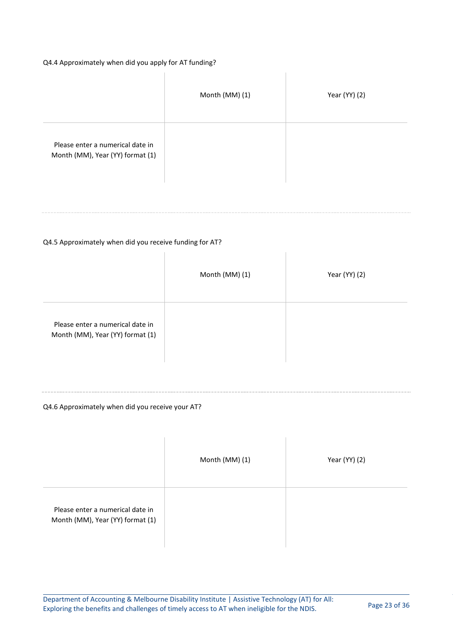#### Q4.4 Approximately when did you apply for AT funding?

|                                                                      | Month (MM) (1) | Year (YY) (2) |
|----------------------------------------------------------------------|----------------|---------------|
| Please enter a numerical date in<br>Month (MM), Year (YY) format (1) |                |               |

#### Q4.5 Approximately when did you receive funding for AT?

|                                                                      | Month (MM) (1) | Year (YY) (2) |
|----------------------------------------------------------------------|----------------|---------------|
| Please enter a numerical date in<br>Month (MM), Year (YY) format (1) |                |               |

#### Q4.6 Approximately when did you receive your AT?

|                                                                      | Month (MM) (1) | Year (YY) (2) |
|----------------------------------------------------------------------|----------------|---------------|
| Please enter a numerical date in<br>Month (MM), Year (YY) format (1) |                |               |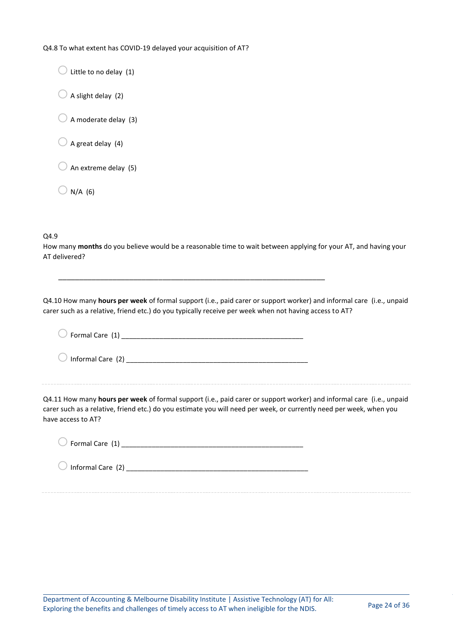Q4.8 To what extent has COVID-19 delayed your acquisition of AT?

 $\bigcirc$  Little to no delay (1)  $\bigcirc$  A slight delay (2)  $\bigcirc$  A moderate delay (3)  $\bigcirc$  A great delay (4)  $\bigcirc$  An extreme delay (5)  $\bigcirc$  N/A (6)

Q4.9

How many **months** do you believe would be a reasonable time to wait between applying for your AT, and having your AT delivered?

\_\_\_\_\_\_\_\_\_\_\_\_\_\_\_\_\_\_\_\_\_\_\_\_\_\_\_\_\_\_\_\_\_\_\_\_\_\_\_\_\_\_\_\_\_\_\_\_\_\_\_\_\_\_\_\_\_\_\_\_\_\_\_\_

Q4.10 How many **hours per week** of formal support (i.e., paid carer or support worker) and informal care (i.e., unpaid carer such as a relative, friend etc.) do you typically receive per week when not having access to AT?

| $\bigcirc$ Formal Care (1)   |  |
|------------------------------|--|
| $\bigcirc$ Informal Care (2) |  |
|                              |  |

Q4.11 How many **hours per week** of formal support (i.e., paid carer or support worker) and informal care (i.e., unpaid carer such as a relative, friend etc.) do you estimate you will need per week, or currently need per week, when you have access to AT?

oFormal Care (1) \_\_\_\_\_\_\_\_\_\_\_\_\_\_\_\_\_\_\_\_\_\_\_\_\_\_\_\_\_\_\_\_\_\_\_\_\_\_\_\_\_\_\_\_\_\_\_\_

oInformal Care (2) \_\_\_\_\_\_\_\_\_\_\_\_\_\_\_\_\_\_\_\_\_\_\_\_\_\_\_\_\_\_\_\_\_\_\_\_\_\_\_\_\_\_\_\_\_\_\_\_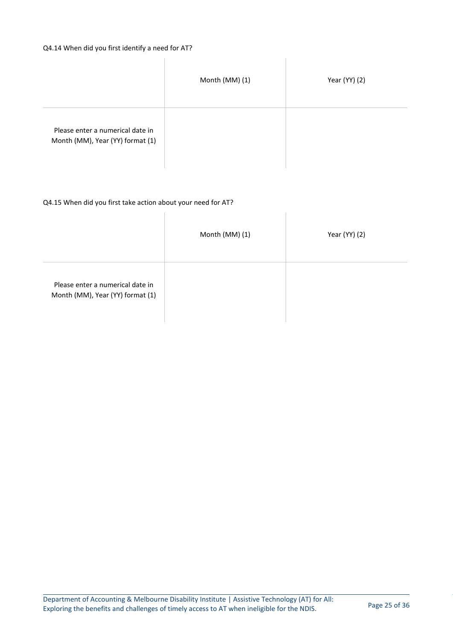#### Q4.14 When did you first identify a need for AT?

 $\overline{\phantom{a}}$ 

|                                                                      | Month (MM) (1) | Year (YY) (2) |
|----------------------------------------------------------------------|----------------|---------------|
| Please enter a numerical date in<br>Month (MM), Year (YY) format (1) |                |               |

 $\| \cdot \|$ 

#### Q4.15 When did you first take action about your need for AT?

|                                                                      | Month (MM) (1) | Year (YY) (2) |
|----------------------------------------------------------------------|----------------|---------------|
| Please enter a numerical date in<br>Month (MM), Year (YY) format (1) |                |               |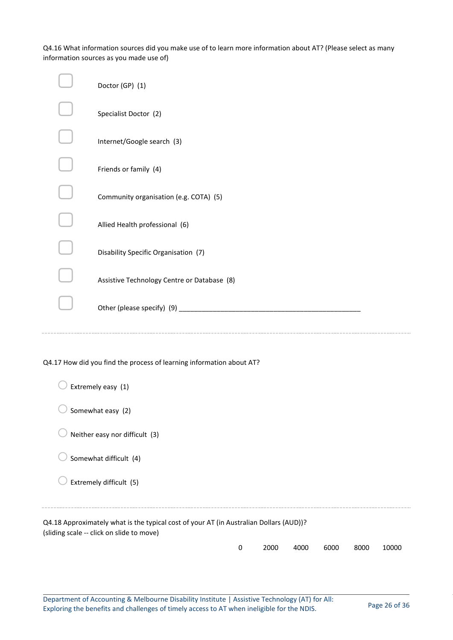Q4.16 What information sources did you make use of to learn more information about AT? (Please select as many information sources as you made use of)

|                                                                      | Doctor (GP) (1)                             |  |
|----------------------------------------------------------------------|---------------------------------------------|--|
|                                                                      | Specialist Doctor (2)                       |  |
|                                                                      | Internet/Google search (3)                  |  |
|                                                                      | Friends or family (4)                       |  |
|                                                                      | Community organisation (e.g. COTA) (5)      |  |
|                                                                      | Allied Health professional (6)              |  |
|                                                                      | Disability Specific Organisation (7)        |  |
|                                                                      | Assistive Technology Centre or Database (8) |  |
|                                                                      |                                             |  |
|                                                                      |                                             |  |
| Q4.17 How did you find the process of learning information about AT? |                                             |  |
|                                                                      |                                             |  |

| Extremely easy (1)                                                                                                                  |   |      |      |      |      |       |
|-------------------------------------------------------------------------------------------------------------------------------------|---|------|------|------|------|-------|
| Somewhat easy (2)                                                                                                                   |   |      |      |      |      |       |
| Neither easy nor difficult (3)                                                                                                      |   |      |      |      |      |       |
| Somewhat difficult (4)                                                                                                              |   |      |      |      |      |       |
| Extremely difficult (5)                                                                                                             |   |      |      |      |      |       |
| Q4.18 Approximately what is the typical cost of your AT (in Australian Dollars (AUD))?<br>(sliding scale -- click on slide to move) |   |      |      |      |      |       |
|                                                                                                                                     | 0 | 2000 | 4000 | 6000 | 8000 | 10000 |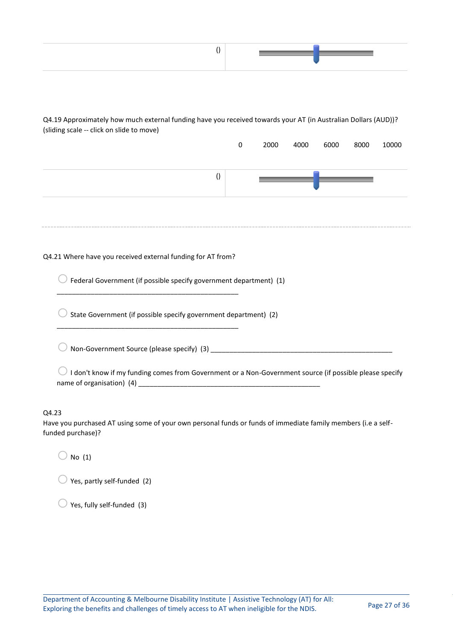| Q4.19 Approximately how much external funding have you received towards your AT (in Australian Dollars (AUD))?<br>(sliding scale -- click on slide to move) |           |      |      |      |      |       |
|-------------------------------------------------------------------------------------------------------------------------------------------------------------|-----------|------|------|------|------|-------|
|                                                                                                                                                             | $\pmb{0}$ | 2000 | 4000 | 6000 | 8000 | 10000 |
| $\left( \right)$                                                                                                                                            |           |      |      |      |      |       |
|                                                                                                                                                             |           |      |      |      |      |       |
| Q4.21 Where have you received external funding for AT from?                                                                                                 |           |      |      |      |      |       |
| Federal Government (if possible specify government department) (1)                                                                                          |           |      |      |      |      |       |
| State Government (if possible specify government department) (2)                                                                                            |           |      |      |      |      |       |
|                                                                                                                                                             |           |      |      |      |      |       |
| I don't know if my funding comes from Government or a Non-Government source (if possible please specify                                                     |           |      |      |      |      |       |
| Q4.23<br>Have you purchased AT using some of your own personal funds or funds of immediate family members (i.e a self-<br>funded purchase)?                 |           |      |      |      |      |       |
| No(1)                                                                                                                                                       |           |      |      |      |      |       |

 $\bigcirc$  Yes, partly self-funded (2)

 $\bigcirc$  Yes, fully self-funded (3)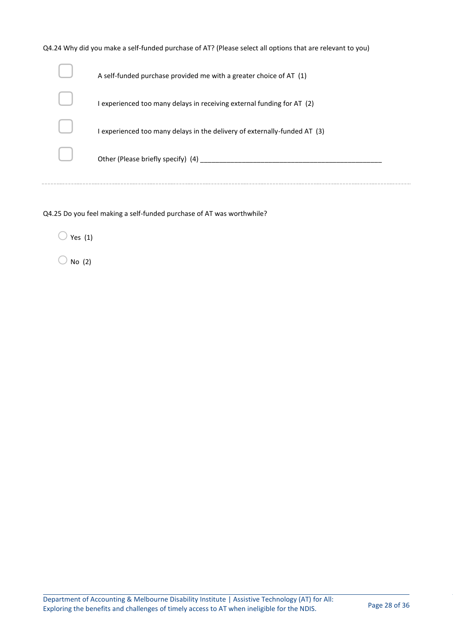| Q4.24 Why did you make a self-funded purchase of AT? (Please select all options that are relevant to you) |
|-----------------------------------------------------------------------------------------------------------|
| A self-funded purchase provided me with a greater choice of AT (1)                                        |
| I experienced too many delays in receiving external funding for AT (2)                                    |
| I experienced too many delays in the delivery of externally-funded AT (3)                                 |
| Other (Please briefly specify) (4)                                                                        |
|                                                                                                           |

Q4.25 Do you feel making a self-funded purchase of AT was worthwhile?

 $\bigcirc$  Yes (1)

 $\bigcirc$  No (2)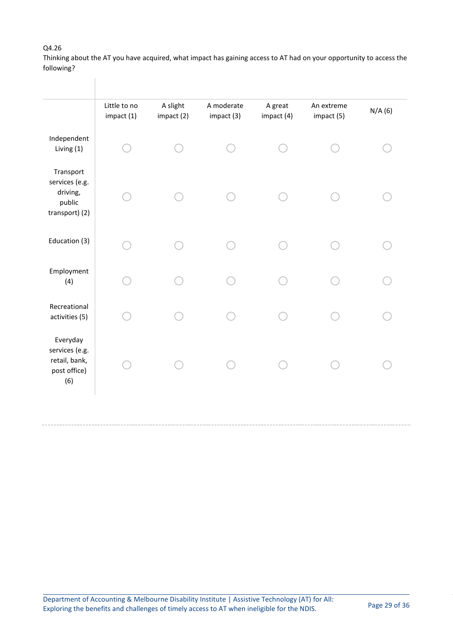#### Q4.26

Thinking about the AT you have acquired, what impact has gaining access to AT had on your opportunity to access the following?

|                                                                     | Little to no<br>impact (1) | A slight<br>impact (2) | A moderate<br>impact (3) | A great<br>impact (4) | An extreme<br>impact (5) | N/A(6) |
|---------------------------------------------------------------------|----------------------------|------------------------|--------------------------|-----------------------|--------------------------|--------|
| Independent<br>Living (1)                                           |                            |                        |                          |                       |                          |        |
| Transport<br>services (e.g.<br>driving,<br>public<br>transport) (2) |                            |                        |                          |                       |                          |        |
| Education (3)                                                       |                            |                        |                          |                       |                          |        |
| Employment<br>(4)                                                   |                            |                        |                          |                       |                          |        |
| Recreational<br>activities (5)                                      |                            |                        |                          |                       |                          |        |
| Everyday<br>services (e.g.<br>retail, bank,<br>post office)<br>(6)  |                            |                        |                          |                       |                          |        |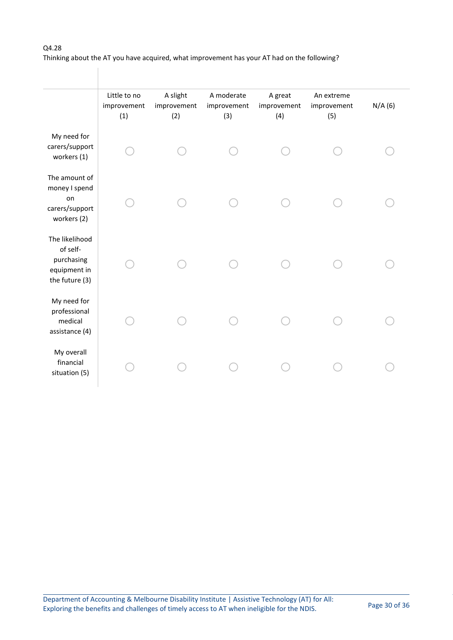#### Q4.28

Thinking about the AT you have acquired, what improvement has your AT had on the following?

|                                                                            | Little to no<br>improvement<br>(1) | A slight<br>improvement<br>(2) | A moderate<br>improvement<br>(3) | A great<br>improvement<br>(4) | An extreme<br>improvement<br>(5) | N/A(6) |
|----------------------------------------------------------------------------|------------------------------------|--------------------------------|----------------------------------|-------------------------------|----------------------------------|--------|
| My need for<br>carers/support<br>workers (1)                               |                                    |                                |                                  |                               |                                  |        |
| The amount of<br>money I spend<br>on<br>carers/support<br>workers (2)      |                                    |                                |                                  |                               |                                  |        |
| The likelihood<br>of self-<br>purchasing<br>equipment in<br>the future (3) |                                    |                                |                                  |                               |                                  |        |
| My need for<br>professional<br>medical<br>assistance (4)                   |                                    |                                |                                  |                               |                                  |        |
| My overall<br>financial<br>situation (5)                                   |                                    |                                |                                  |                               |                                  |        |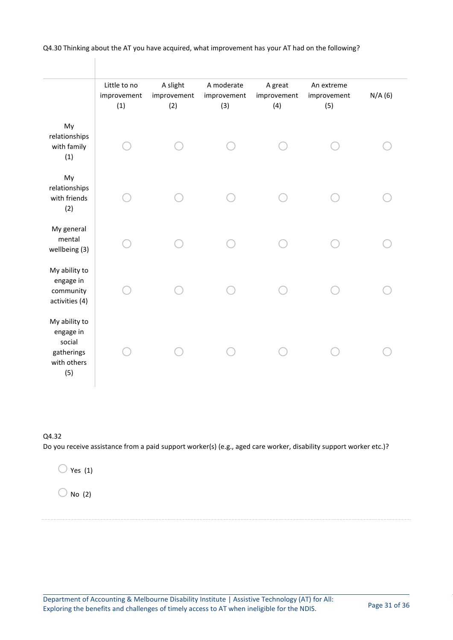|                                                                          | Little to no<br>improvement<br>(1) | A slight<br>improvement<br>(2) | A moderate<br>improvement<br>(3) | A great<br>improvement<br>(4) | An extreme<br>improvement<br>(5) | N/A(6) |  |
|--------------------------------------------------------------------------|------------------------------------|--------------------------------|----------------------------------|-------------------------------|----------------------------------|--------|--|
| My<br>relationships<br>with family<br>(1)                                |                                    |                                |                                  |                               |                                  |        |  |
| My<br>relationships<br>with friends<br>(2)                               |                                    |                                |                                  |                               |                                  |        |  |
| My general<br>mental<br>wellbeing (3)                                    |                                    |                                |                                  |                               |                                  |        |  |
| My ability to<br>engage in<br>community<br>activities (4)                |                                    |                                |                                  |                               |                                  |        |  |
| My ability to<br>engage in<br>social<br>gatherings<br>with others<br>(5) |                                    |                                |                                  |                               |                                  |        |  |

Q4.30 Thinking about the AT you have acquired, what improvement has your AT had on the following?

#### Q4.32

Do you receive assistance from a paid support worker(s) (e.g., aged care worker, disability support worker etc.)?

 $\bigcirc$  Yes (1)

 $\bigcirc$  No (2)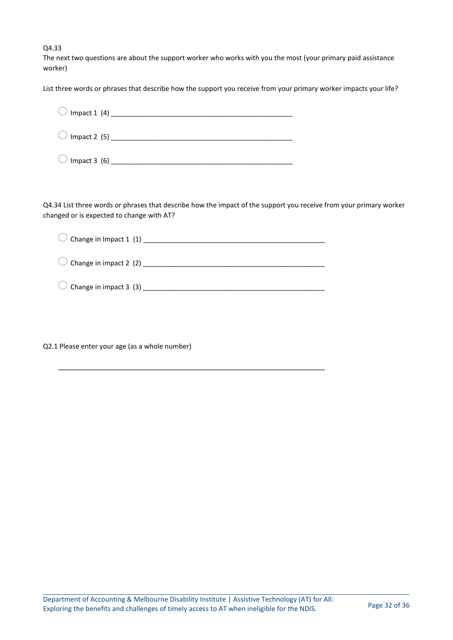Q4.33

The next two questions are about the support worker who works with you the most (your primary paid assistance worker)

List three words or phrases that describe how the support you receive from your primary worker impacts your life?

| Impact 2 $(5)$ _______ |  |
|------------------------|--|
| Impact $3(6)$          |  |

Q4.34 List three words or phrases that describe how the impact of the support you receive from your primary worker changed or is expected to change with AT?

| Change in Impact 1 (1) ______ |
|-------------------------------|
| Change in impact 2 (2)        |
| Change in impact 3 (3)        |

\_\_\_\_\_\_\_\_\_\_\_\_\_\_\_\_\_\_\_\_\_\_\_\_\_\_\_\_\_\_\_\_\_\_\_\_\_\_\_\_\_\_\_\_\_\_\_\_\_\_\_\_\_\_\_\_\_\_\_\_\_\_\_\_

Q2.1 Please enter your age (as a whole number)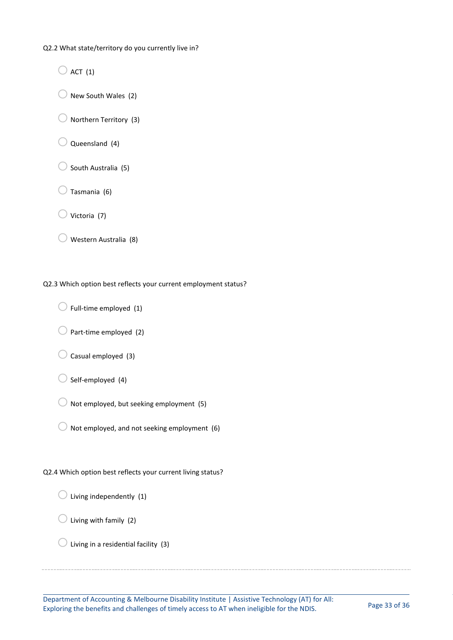Q2.2 What state/territory do you currently live in?

 $\bigcirc$  ACT (1)

 $\bigcirc$  New South Wales (2)

- $\bigcirc$  Northern Territory (3)
- Queensland (4)
- $\bigcirc$  South Australia (5)
- $\supset$  Tasmania (6)
- $\sqrt{v}$  Victoria (7)
- $\bigcirc$  Western Australia (8)

Q2.3 Which option best reflects your current employment status?

- $\bigcirc$  Full-time employed (1)
- $\bigcirc$  Part-time employed (2)
- $\bigcirc$  Casual employed (3)
- $\bigcirc$  Self-employed (4)
- $\overline{O}$  Not employed, but seeking employment (5)
- $\overline{O}$  Not employed, and not seeking employment (6)

#### Q2.4 Which option best reflects your current living status?

- $\bigcirc$  Living independently (1)
- $\bigcirc$  Living with family (2)
- $\bigcirc$  Living in a residential facility (3)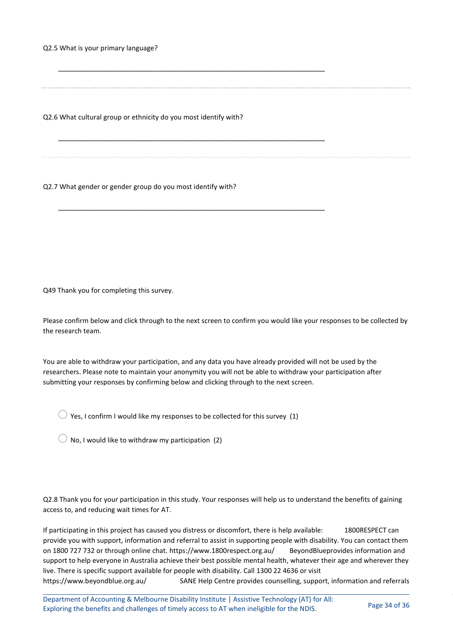Q2.5 What is your primary language?

Q2.6 What cultural group or ethnicity do you most identify with?

\_\_\_\_\_\_\_\_\_\_\_\_\_\_\_\_\_\_\_\_\_\_\_\_\_\_\_\_\_\_\_\_\_\_\_\_\_\_\_\_\_\_\_\_\_\_\_\_\_\_\_\_\_\_\_\_\_\_\_\_\_\_\_\_

\_\_\_\_\_\_\_\_\_\_\_\_\_\_\_\_\_\_\_\_\_\_\_\_\_\_\_\_\_\_\_\_\_\_\_\_\_\_\_\_\_\_\_\_\_\_\_\_\_\_\_\_\_\_\_\_\_\_\_\_\_\_\_\_

\_\_\_\_\_\_\_\_\_\_\_\_\_\_\_\_\_\_\_\_\_\_\_\_\_\_\_\_\_\_\_\_\_\_\_\_\_\_\_\_\_\_\_\_\_\_\_\_\_\_\_\_\_\_\_\_\_\_\_\_\_\_\_\_

Q2.7 What gender or gender group do you most identify with?

Q49 Thank you for completing this survey.

Please confirm below and click through to the next screen to confirm you would like your responses to be collected by the research team.

You are able to withdraw your participation, and any data you have already provided will not be used by the researchers. Please note to maintain your anonymity you will not be able to withdraw your participation after submitting your responses by confirming below and clicking through to the next screen.

 $\bigcirc$  Yes, I confirm I would like my responses to be collected for this survey (1)

 $\bigcirc$  No, I would like to withdraw my participation (2)

Q2.8 Thank you for your participation in this study. Your responses will help us to understand the benefits of gaining access to, and reducing wait times for AT.

If participating in this project has caused you distress or discomfort, there is help available: 1800RESPECT can provide you with support, information and referral to assist in supporting people with disability. You can contact them on 1800 727 732 or through online chat. https://www.1800respect.org.au/ BeyondBlueprovides information and support to help everyone in Australia achieve their best possible mental health, whatever their age and wherever they live. There is specific support available for people with disability. Call 1300 22 4636 or visit

https://www.beyondblue.org.au/ SANE Help Centre provides counselling, support, information and referrals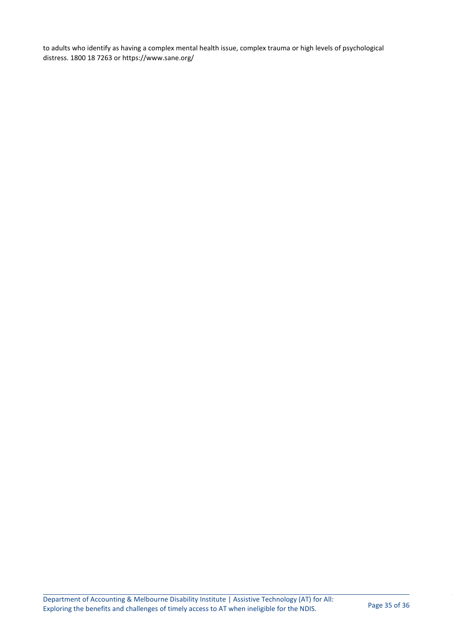to adults who identify as having a complex mental health issue, complex trauma or high levels of psychological distress. 1800 18 7263 or https://www.sane.org/